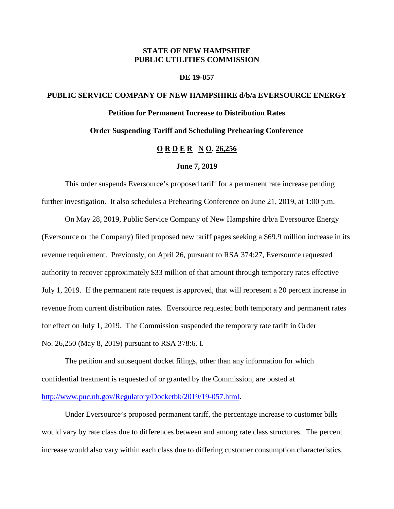## **STATE OF NEW HAMPSHIRE PUBLIC UTILITIES COMMISSION**

## **DE 19-057**

# **PUBLIC SERVICE COMPANY OF NEW HAMPSHIRE d/b/a EVERSOURCE ENERGY Petition for Permanent Increase to Distribution Rates Order Suspending Tariff and Scheduling Prehearing Conference**

## **O R D E R N O. 26,256**

## **June 7, 2019**

This order suspends Eversource's proposed tariff for a permanent rate increase pending further investigation. It also schedules a Prehearing Conference on June 21, 2019, at 1:00 p.m.

On May 28, 2019, Public Service Company of New Hampshire d/b/a Eversource Energy (Eversource or the Company) filed proposed new tariff pages seeking a \$69.9 million increase in its revenue requirement. Previously, on April 26, pursuant to RSA 374:27, Eversource requested authority to recover approximately \$33 million of that amount through temporary rates effective July 1, 2019. If the permanent rate request is approved, that will represent a 20 percent increase in revenue from current distribution rates. Eversource requested both temporary and permanent rates for effect on July 1, 2019. The Commission suspended the temporary rate tariff in Order No. 26,250 (May 8, 2019) pursuant to RSA 378:6. I.

The petition and subsequent docket filings, other than any information for which confidential treatment is requested of or granted by the Commission, are posted at [http://www.puc.nh.gov/Regulatory/Docketbk/2019/19-057.html.](http://www.puc.nh.gov/Regulatory/Docketbk/2019/19-057.html)

Under Eversource's proposed permanent tariff, the percentage increase to customer bills would vary by rate class due to differences between and among rate class structures. The percent increase would also vary within each class due to differing customer consumption characteristics.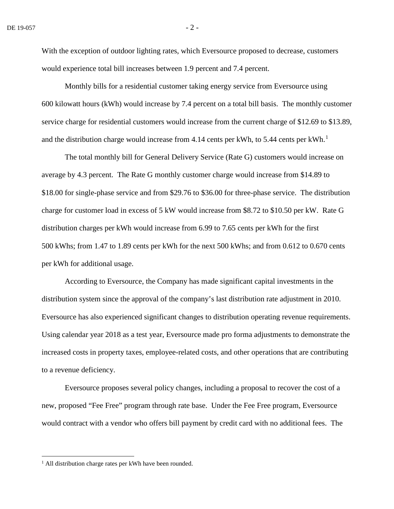With the exception of outdoor lighting rates, which Eversource proposed to decrease, customers would experience total bill increases between 1.9 percent and 7.4 percent.

Monthly bills for a residential customer taking energy service from Eversource using 600 kilowatt hours (kWh) would increase by 7.4 percent on a total bill basis. The monthly customer service charge for residential customers would increase from the current charge of \$12.69 to \$13.89, and the distribution charge would increase from 4.[1](#page-1-0)4 cents per kWh, to 5.44 cents per kWh.<sup>1</sup>

The total monthly bill for General Delivery Service (Rate G) customers would increase on average by 4.3 percent. The Rate G monthly customer charge would increase from \$14.89 to \$18.00 for single-phase service and from \$29.76 to \$36.00 for three-phase service. The distribution charge for customer load in excess of 5 kW would increase from \$8.72 to \$10.50 per kW. Rate G distribution charges per kWh would increase from 6.99 to 7.65 cents per kWh for the first 500 kWhs; from 1.47 to 1.89 cents per kWh for the next 500 kWhs; and from 0.612 to 0.670 cents per kWh for additional usage.

According to Eversource, the Company has made significant capital investments in the distribution system since the approval of the company's last distribution rate adjustment in 2010. Eversource has also experienced significant changes to distribution operating revenue requirements. Using calendar year 2018 as a test year, Eversource made pro forma adjustments to demonstrate the increased costs in property taxes, employee-related costs, and other operations that are contributing to a revenue deficiency.

Eversource proposes several policy changes, including a proposal to recover the cost of a new, proposed "Fee Free" program through rate base. Under the Fee Free program, Eversource would contract with a vendor who offers bill payment by credit card with no additional fees. The

<span id="page-1-0"></span> $<sup>1</sup>$  All distribution charge rates per kWh have been rounded.</sup>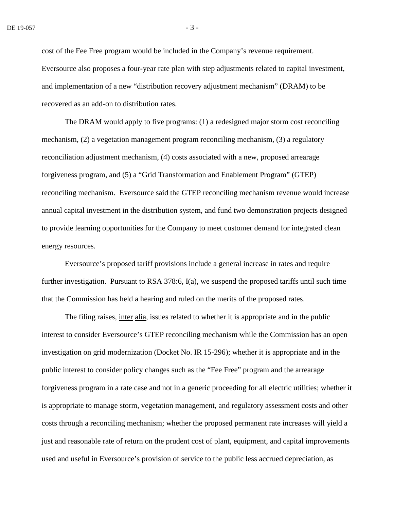cost of the Fee Free program would be included in the Company's revenue requirement. Eversource also proposes a four-year rate plan with step adjustments related to capital investment, and implementation of a new "distribution recovery adjustment mechanism" (DRAM) to be recovered as an add-on to distribution rates.

The DRAM would apply to five programs: (1) a redesigned major storm cost reconciling mechanism, (2) a vegetation management program reconciling mechanism, (3) a regulatory reconciliation adjustment mechanism, (4) costs associated with a new, proposed arrearage forgiveness program, and (5) a "Grid Transformation and Enablement Program" (GTEP) reconciling mechanism. Eversource said the GTEP reconciling mechanism revenue would increase annual capital investment in the distribution system, and fund two demonstration projects designed to provide learning opportunities for the Company to meet customer demand for integrated clean energy resources.

Eversource's proposed tariff provisions include a general increase in rates and require further investigation. Pursuant to RSA 378:6,  $I(a)$ , we suspend the proposed tariffs until such time that the Commission has held a hearing and ruled on the merits of the proposed rates.

The filing raises, inter alia, issues related to whether it is appropriate and in the public interest to consider Eversource's GTEP reconciling mechanism while the Commission has an open investigation on grid modernization (Docket No. IR 15-296); whether it is appropriate and in the public interest to consider policy changes such as the "Fee Free" program and the arrearage forgiveness program in a rate case and not in a generic proceeding for all electric utilities; whether it is appropriate to manage storm, vegetation management, and regulatory assessment costs and other costs through a reconciling mechanism; whether the proposed permanent rate increases will yield a just and reasonable rate of return on the prudent cost of plant, equipment, and capital improvements used and useful in Eversource's provision of service to the public less accrued depreciation, as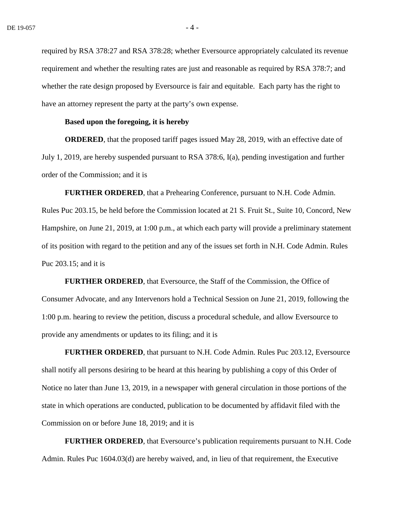required by RSA 378:27 and RSA 378:28; whether Eversource appropriately calculated its revenue requirement and whether the resulting rates are just and reasonable as required by RSA 378:7; and whether the rate design proposed by Eversource is fair and equitable. Each party has the right to have an attorney represent the party at the party's own expense.

## **Based upon the foregoing, it is hereby**

**ORDERED**, that the proposed tariff pages issued May 28, 2019, with an effective date of July 1, 2019, are hereby suspended pursuant to RSA 378:6, I(a), pending investigation and further order of the Commission; and it is

**FURTHER ORDERED**, that a Prehearing Conference, pursuant to N.H. Code Admin. Rules Puc 203.15, be held before the Commission located at 21 S. Fruit St., Suite 10, Concord, New Hampshire, on June 21, 2019, at 1:00 p.m., at which each party will provide a preliminary statement of its position with regard to the petition and any of the issues set forth in N.H. Code Admin. Rules Puc 203.15; and it is

**FURTHER ORDERED**, that Eversource, the Staff of the Commission, the Office of Consumer Advocate, and any Intervenors hold a Technical Session on June 21, 2019, following the 1:00 p.m. hearing to review the petition, discuss a procedural schedule, and allow Eversource to provide any amendments or updates to its filing; and it is

**FURTHER ORDERED**, that pursuant to N.H. Code Admin. Rules Puc 203.12, Eversource shall notify all persons desiring to be heard at this hearing by publishing a copy of this Order of Notice no later than June 13, 2019, in a newspaper with general circulation in those portions of the state in which operations are conducted, publication to be documented by affidavit filed with the Commission on or before June 18, 2019; and it is

**FURTHER ORDERED**, that Eversource's publication requirements pursuant to N.H. Code Admin. Rules Puc 1604.03(d) are hereby waived, and, in lieu of that requirement, the Executive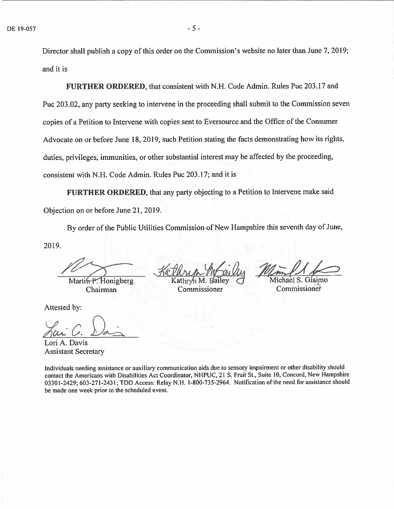Director shall publish a copy of this order on the Commission's website no later than June 7, 2019; and it is

FURTHER ORDERED, that consistent with N.H. Code Admin. Rules Puc 203.17 and Puc 203.02, any party seeking to intervene in the proceeding shall submit to the Commission seven copies of a Petition to Intervene with copies sent to Eversource and the Office of the Consumer Advocate on or before June 18, 2019, such Petition stating the facts demonstrating how its rights, duties, privileges, immunities, or other substantial interest may be affected by the proceeding, consistent with N.H. Code Admin. Rules Puc 203.17; and it is

FURTHER ORDERED, that any party objecting to a Petition to Intervene make said Objection on or before June 21, 2019.

By order of the Public Utilities Commission of New Hampshire this seventh day of June,

2019.

Martin-P. Honigberg

Attested by:

Lori A. Davis Assistant Secretary

Kethrin Mailu

Kathryn M. Bailey  $\sigma$  Michael S. Giaimo<br>Commissioner Commissioner Chairman Commissioner Commissioner

Individuals needing assistance or auxiliary communication aids due to sensory impairment or other disability should contact the Americans with Disabilities Act Coordinator, NHPUC, <sup>21</sup> S. Fruit St., Suite 10, Concord, New Hampshire 03301-2429; 603-271-2431; TDD Access: Relay N.H. 1-800-735-2964. Notification of the need for assistance should be made one week prior to the scheduled event.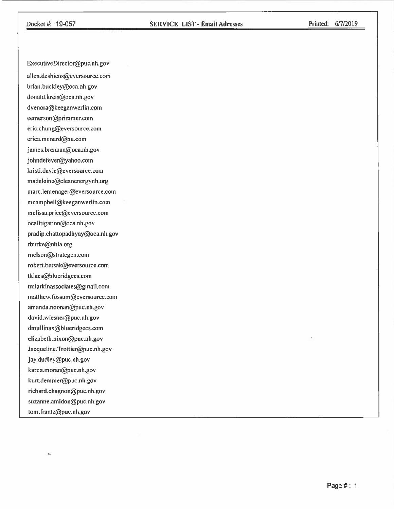#### Docket 14: 19-057 SERVICE LIST -Email Adresses Printed: 6/7/2019

ExecutiveDirector@puc.nh.gov allen.desbiens@eversource.com brian.buckley@oca.nh.gov donald.kreis@oca.nh.gov dvenora@keeganwerlin.com eemerson@primmer.com eric.chung@eversource.com erica.menard@nu.com james.brennan@oca.nh.gov johndefever@yahoo.com kristi.davie@eversource.corn madeleine@cleanenergynh.org marc.lemenager@eversource.com mcampbell@keeganwerlin.com melissa.price@eversource.com ocalitigation@oca.nh.gov pradip.chattopadhyay@oca.nh.gov rburke@nhla.org melson@strategen.com robert.bersak@eversource.com tklaes@blueridgecs.com tmlark in associates@gmail.com matthew.fossum@eversource.com amanda.noonan@puc.nh.gov david.wiesner@puc.nh.gov dmullinax@blueridgecs.com elizabeth.nixon@puc.nh.gov Jacqueline.Trottier@puc.nh.gov jay.dudley@puc.nh.gov karen.moran@puc.nh.gov kurt.demmer@puc.nh.gov richard.chagnon@puc.nh.gov suzanne.amidon@puc.nh.gov tom.frantz@puc.nh.gov